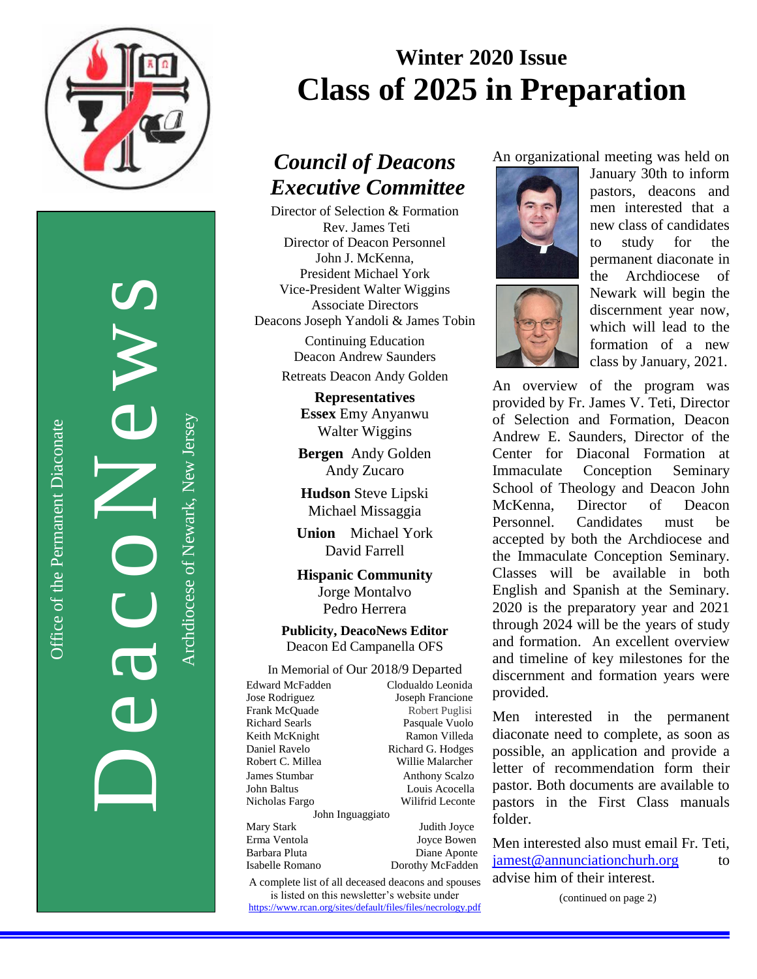

DeacoNews News

Office of the Permanent Diaconate

Office of the Permanent Diaconate

Archdiocese of Newark, New JerseyArchdiocese of Newark, New Jersey

# **Winter 2020 Issue Class of 2025 in Preparation**

## *Council of Deacons Executive Committee*

Director of Selection & Formation Rev. James Teti Director of Deacon Personnel John J. McKenna, President Michael York Vice-President Walter Wiggins Associate Directors Deacons Joseph Yandoli & James Tobin

> Continuing Education Deacon Andrew Saunders

> Retreats Deacon Andy Golden

**Representatives Essex** Emy Anyanwu Walter Wiggins

**Bergen** Andy Golden Andy Zucaro

**Hudson** Steve Lipski Michael Missaggia

**Union** Michael York David Farrell

**Hispanic Community** Jorge Montalvo Pedro Herrera

**Publicity, DeacoNews Editor** Deacon Ed Campanella OFS

Willie Malarcher

In Memorial of Our 2018/9 Departed Edward McFadden Clodualdo Leonida Jose Rodriguez Joseph Francione Frank McQuade Robert Puglisi Richard Searls Pasquale Vuolo Keith McKnight Ramon Villeda Daniel Ravelo Richard G. Hodges James Stumbar Anthony Scalzo John Baltus Louis Acocella Nicholas Fargo Wilifrid Leconte John Inguaggiato

Mary Stark Judith Joyce Erma Ventola Joyce Bowen Barbara Pluta Diane Aponte Isabelle Romano Dorothy McFadden

A complete list of all deceased deacons and spouses is listed on this newsletter's website under <https://www.rcan.org/sites/default/files/files/necrology.pdf> An organizational meeting was held on





January 30th to inform pastors, deacons and men interested that a new class of candidates to study for the permanent diaconate in the Archdiocese of Newark will begin the discernment year now, which will lead to the formation of a new class by January, 2021.

An overview of the program was provided by Fr. James V. Teti, Director of Selection and Formation, Deacon Andrew E. Saunders, Director of the Center for Diaconal Formation at Immaculate Conception Seminary School of Theology and Deacon John McKenna, Director of Deacon Personnel. Candidates must be accepted by both the Archdiocese and the Immaculate Conception Seminary. Classes will be available in both English and Spanish at the Seminary. 2020 is the preparatory year and 2021 through 2024 will be the years of study and formation. An excellent overview and timeline of key milestones for the discernment and formation years were provided.

Men interested in the permanent diaconate need to complete, as soon as possible, an application and provide a letter of recommendation form their pastor. Both documents are available to pastors in the First Class manuals folder.

Men interested also must email Fr. Teti, [jamest@annunciationchurh.org](mailto:jamest@annunciationchurh.org) to advise him of their interest. Ì

(continued on page 2)